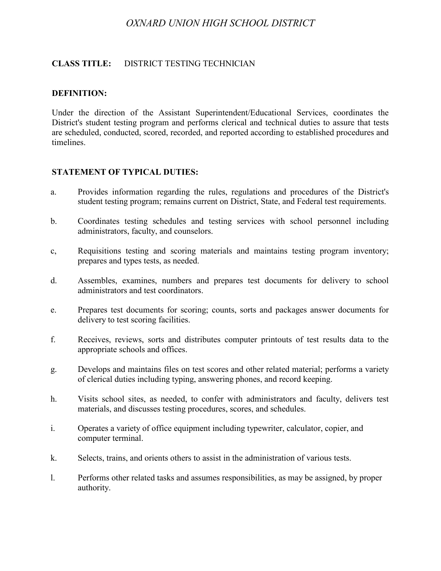# *OXNARD UNION HIGH SCHOOL DISTRICT*

### **CLASS TITLE:** DISTRICT TESTING TECHNICIAN

#### **DEFINITION:**

Under the direction of the Assistant Superintendent/Educational Services, coordinates the District's student testing program and performs clerical and technical duties to assure that tests are scheduled, conducted, scored, recorded, and reported according to established procedures and timelines.

### **STATEMENT OF TYPICAL DUTIES:**

- a. Provides information regarding the rules, regulations and procedures of the District's student testing program; remains current on District, State, and Federal test requirements.
- b. Coordinates testing schedules and testing services with school personnel including administrators, faculty, and counselors.
- c, Requisitions testing and scoring materials and maintains testing program inventory; prepares and types tests, as needed.
- d. Assembles, examines, numbers and prepares test documents for delivery to school administrators and test coordinators.
- e. Prepares test documents for scoring; counts, sorts and packages answer documents for delivery to test scoring facilities.
- f. Receives, reviews, sorts and distributes computer printouts of test results data to the appropriate schools and offices.
- g. Develops and maintains files on test scores and other related material; performs a variety of clerical duties including typing, answering phones, and record keeping.
- h. Visits school sites, as needed, to confer with administrators and faculty, delivers test materials, and discusses testing procedures, scores, and schedules.
- i. Operates a variety of office equipment including typewriter, calculator, copier, and computer terminal.
- k. Selects, trains, and orients others to assist in the administration of various tests.
- l. Performs other related tasks and assumes responsibilities, as may be assigned, by proper authority.